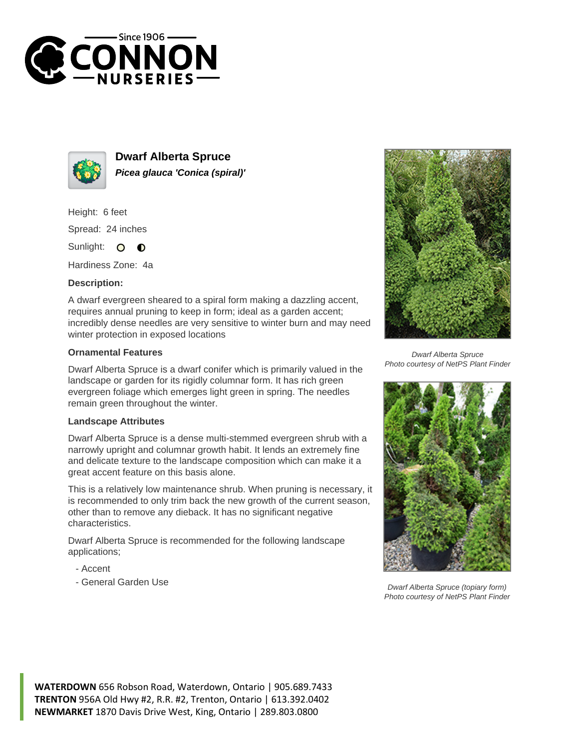



**Dwarf Alberta Spruce Picea glauca 'Conica (spiral)'**

Height: 6 feet Spread: 24 inches

Sunlight: O  $\bullet$ 

Hardiness Zone: 4a

## **Description:**

A dwarf evergreen sheared to a spiral form making a dazzling accent, requires annual pruning to keep in form; ideal as a garden accent; incredibly dense needles are very sensitive to winter burn and may need winter protection in exposed locations

## **Ornamental Features**

Dwarf Alberta Spruce is a dwarf conifer which is primarily valued in the landscape or garden for its rigidly columnar form. It has rich green evergreen foliage which emerges light green in spring. The needles remain green throughout the winter.

## **Landscape Attributes**

Dwarf Alberta Spruce is a dense multi-stemmed evergreen shrub with a narrowly upright and columnar growth habit. It lends an extremely fine and delicate texture to the landscape composition which can make it a great accent feature on this basis alone.

This is a relatively low maintenance shrub. When pruning is necessary, it is recommended to only trim back the new growth of the current season, other than to remove any dieback. It has no significant negative characteristics.

Dwarf Alberta Spruce is recommended for the following landscape applications;

- Accent
- General Garden Use



Dwarf Alberta Spruce Photo courtesy of NetPS Plant Finder



Dwarf Alberta Spruce (topiary form) Photo courtesy of NetPS Plant Finder